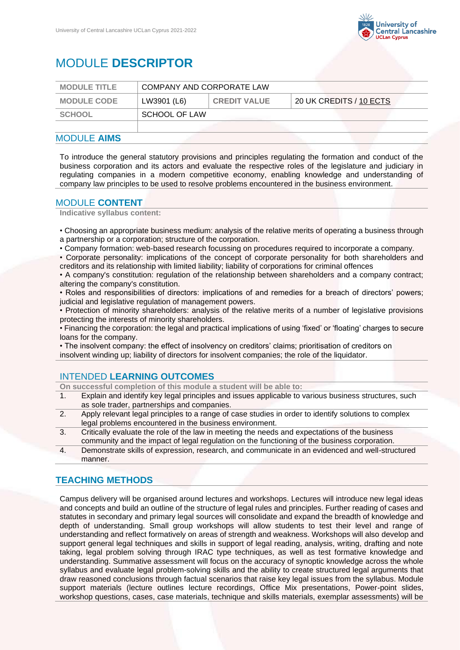

# MODULE **DESCRIPTOR**

| <b>MODULE TITLE</b> | COMPANY AND CORPORATE LAW |                     |                         |
|---------------------|---------------------------|---------------------|-------------------------|
| <b>MODULE CODE</b>  | LW3901 (L6)               | <b>CREDIT VALUE</b> | 20 UK CREDITS / 10 ECTS |
| <b>SCHOOL</b>       | SCHOOL OF LAW             |                     |                         |
|                     |                           |                     |                         |

## MODULE **AIMS**

To introduce the general statutory provisions and principles regulating the formation and conduct of the business corporation and its actors and evaluate the respective roles of the legislature and judiciary in regulating companies in a modern competitive economy, enabling knowledge and understanding of company law principles to be used to resolve problems encountered in the business environment.

## MODULE **CONTENT**

**Indicative syllabus content:**

• Choosing an appropriate business medium: analysis of the relative merits of operating a business through a partnership or a corporation; structure of the corporation.

• Company formation: web-based research focussing on procedures required to incorporate a company.

• Corporate personality: implications of the concept of corporate personality for both shareholders and creditors and its relationship with limited liability; liability of corporations for criminal offences

• A company's constitution: regulation of the relationship between shareholders and a company contract; altering the company's constitution.

• Roles and responsibilities of directors: implications of and remedies for a breach of directors' powers; judicial and legislative regulation of management powers.

• Protection of minority shareholders: analysis of the relative merits of a number of legislative provisions protecting the interests of minority shareholders.

• Financing the corporation: the legal and practical implications of using 'fixed' or 'floating' charges to secure loans for the company.

• The insolvent company: the effect of insolvency on creditors' claims; prioritisation of creditors on insolvent winding up; liability of directors for insolvent companies; the role of the liquidator.

# INTENDED **LEARNING OUTCOMES**

**On successful completion of this module a student will be able to:**

- 1. Explain and identify key legal principles and issues applicable to various business structures, such as sole trader, partnerships and companies.
- 2. Apply relevant legal principles to a range of case studies in order to identify solutions to complex legal problems encountered in the business environment.
- 3. Critically evaluate the role of the law in meeting the needs and expectations of the business community and the impact of legal regulation on the functioning of the business corporation.
- 4. Demonstrate skills of expression, research, and communicate in an evidenced and well-structured manner.

# **TEACHING METHODS**

Campus delivery will be organised around lectures and workshops. Lectures will introduce new legal ideas and concepts and build an outline of the structure of legal rules and principles. Further reading of cases and statutes in secondary and primary legal sources will consolidate and expand the breadth of knowledge and depth of understanding. Small group workshops will allow students to test their level and range of understanding and reflect formatively on areas of strength and weakness. Workshops will also develop and support general legal techniques and skills in support of legal reading, analysis, writing, drafting and note taking, legal problem solving through IRAC type techniques, as well as test formative knowledge and understanding. Summative assessment will focus on the accuracy of synoptic knowledge across the whole syllabus and evaluate legal problem-solving skills and the ability to create structured legal arguments that draw reasoned conclusions through factual scenarios that raise key legal issues from the syllabus. Module support materials (lecture outlines lecture recordings, Office Mix presentations, Power-point slides, workshop questions, cases, case materials, technique and skills materials, exemplar assessments) will be